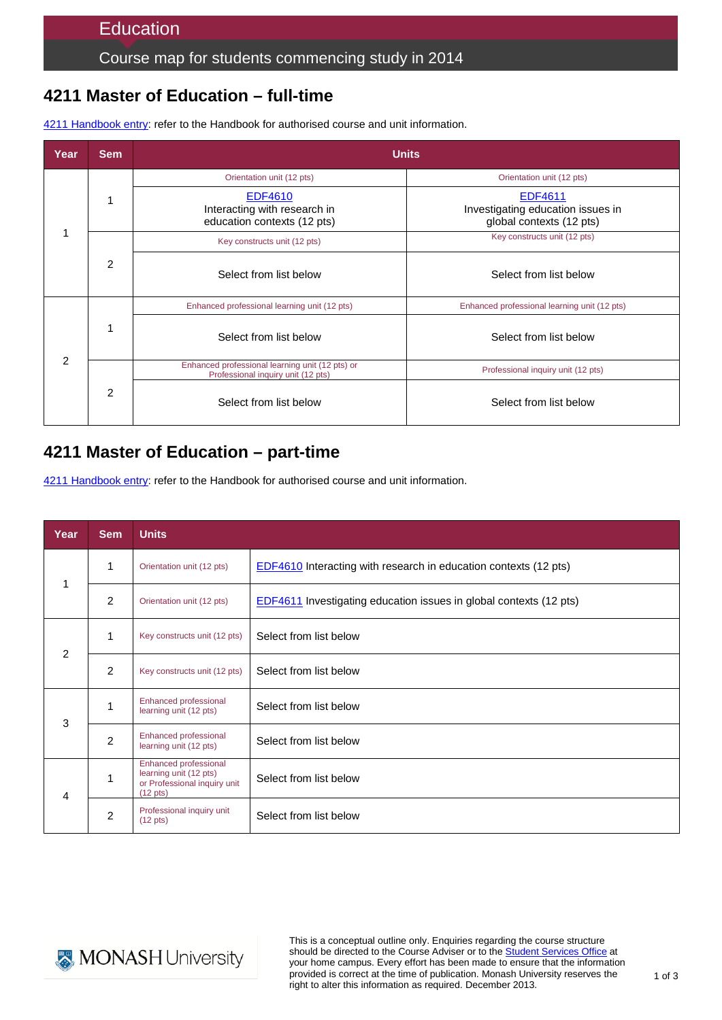### Course map for students commencing study in 2014

# **4211 Master of Education – full-time**

| Year           | <b>Sem</b>     | <b>Units</b>                                                                          |                                                                          |  |
|----------------|----------------|---------------------------------------------------------------------------------------|--------------------------------------------------------------------------|--|
| 1              |                | Orientation unit (12 pts)                                                             | Orientation unit (12 pts)                                                |  |
|                |                | EDF4610<br>Interacting with research in<br>education contexts (12 pts)                | EDF4611<br>Investigating education issues in<br>global contexts (12 pts) |  |
|                | $\overline{2}$ | Key constructs unit (12 pts)                                                          | Key constructs unit (12 pts)                                             |  |
|                |                | Select from list below                                                                | Select from list below                                                   |  |
| $\mathfrak{p}$ |                | Enhanced professional learning unit (12 pts)                                          | Enhanced professional learning unit (12 pts)                             |  |
|                |                | Select from list below                                                                | Select from list below                                                   |  |
|                | 2              | Enhanced professional learning unit (12 pts) or<br>Professional inquiry unit (12 pts) | Professional inquiry unit (12 pts)                                       |  |
|                |                | Select from list below                                                                | Select from list below                                                   |  |

4211 [Handbook entry:](http://www.monash.edu.au/pubs/2014handbooks/courses/4211.html) refer to the Handbook for authorised course and unit information.

## **4211 Master of Education – part-time**

[4211 Handbook entry:](http://www.monash.edu.au/pubs/2014handbooks/courses/4211.html) refer to the Handbook for authorised course and unit information.

| Year | <b>Sem</b>     | <b>Units</b>                                                                                          |                                                                         |
|------|----------------|-------------------------------------------------------------------------------------------------------|-------------------------------------------------------------------------|
| 1    | 1              | Orientation unit (12 pts)                                                                             | <b>EDF4610</b> Interacting with research in education contexts (12 pts) |
|      | $\overline{2}$ | Orientation unit (12 pts)                                                                             | EDF4611 Investigating education issues in global contexts (12 pts)      |
| 2    | 1              | Key constructs unit (12 pts)                                                                          | Select from list below                                                  |
|      | $\overline{2}$ | Key constructs unit (12 pts)                                                                          | Select from list below                                                  |
| 3    | 1              | Enhanced professional<br>learning unit (12 pts)                                                       | Select from list below                                                  |
|      | $\overline{c}$ | Enhanced professional<br>learning unit (12 pts)                                                       | Select from list below                                                  |
| 4    | 1              | Enhanced professional<br>learning unit (12 pts)<br>or Professional inquiry unit<br>$(12 \text{ pts})$ | Select from list below                                                  |
|      | $\overline{2}$ | Professional inquiry unit<br>$(12 \text{ pts})$                                                       | Select from list below                                                  |



This is a conceptual outline only. Enquiries regarding the course structure should be directed to the Course Adviser or to the [Student Services Office](http://www.education.monash.edu.au/contacts/) at your home campus. Every effort has been made to ensure that the information provided is correct at the time of publication. Monash University reserves the right to alter this information as required. December 2013.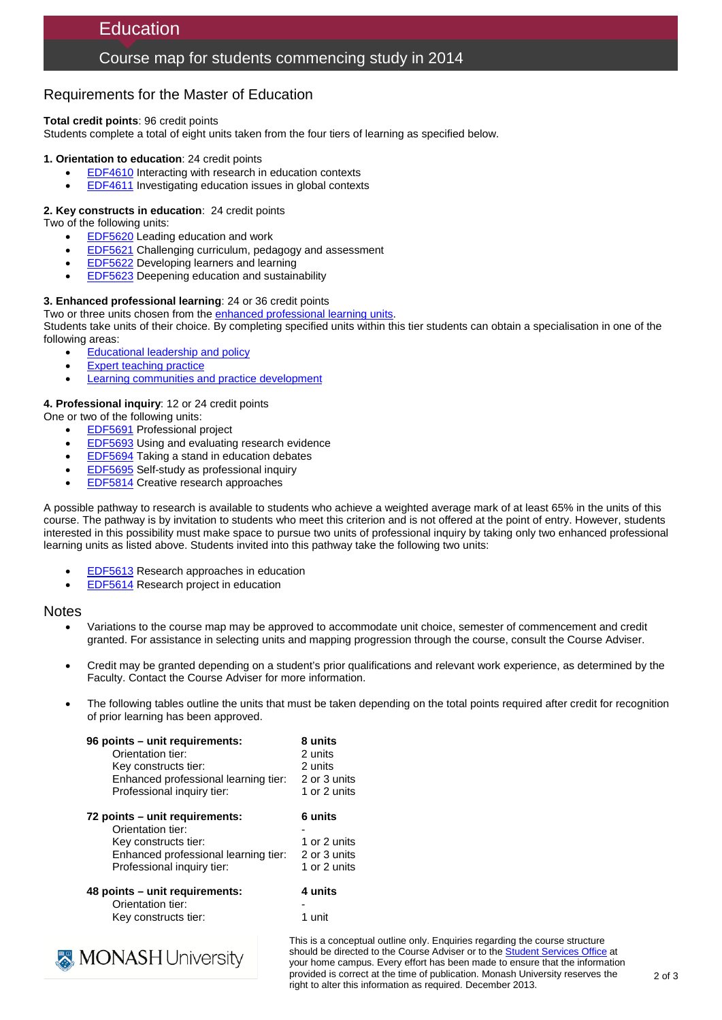## **Education**

### Course map for students commencing study in 2014

### Requirements for the Master of Education

**Total credit points**: 96 credit points

Students complete a total of eight units taken from the four tiers of learning as specified below.

#### **1. Orientation to education**: 24 credit points

- **[EDF4610](http://www.monash.edu.au/pubs/handbooks/units/EDF4610.html)** Interacting with research in education contexts
- [EDF4611](http://www.monash.edu.au/pubs/handbooks/units/EDF4611.html) Investigating education issues in global contexts

#### **2. Key constructs in education**: 24 credit points

Two of the following units:

- [EDF5620](http://www.monash.edu.au/pubs/handbooks/units/EDF5620.html) Leading education and work
- [EDF5621](http://www.monash.edu.au/pubs/handbooks/units/EDF5621.html) Challenging curriculum, pedagogy and assessment
- [EDF5622](http://www.monash.edu.au/pubs/handbooks/units/EDF5622.html) Developing learners and learning
- [EDF5623](http://www.monash.edu.au/pubs/handbooks/units/EDF5623.html) Deepening education and sustainability

#### **3. Enhanced professional learning**: 24 or 36 credit points

Two or three units chosen from th[e enhanced professional learning units.](http://www.monash.edu.au/pubs/2014handbooks/aos/education---general/index.html) Students take units of their choice. By completing specified units within this tier students can obtain a specialisation in one of the following areas:

- [Educational leadership and policy](http://www.monash.edu.au/pubs/2014handbooks/aos/education---educational-leadership-and-policy/index.html)
- **[Expert teaching practice](http://www.monash.edu.au/pubs/2014handbooks/aos/education---expert-teaching-practice/index.html)**
- **[Learning communities and practice development](http://www.monash.edu.au/pubs/2014handbooks/aos/education---learning-communities-and-practice-development/index.html)**

#### **4. Professional inquiry**: 12 or 24 credit points

One or two of the following units:

- **[EDF5691](http://www.monash.edu.au/pubs/handbooks/units/EDF5691.html)** Professional project
- **[EDF5693](http://www.monash.edu.au/pubs/handbooks/units/EDF5693.html)** Using and evaluating research evidence
- [EDF5694](http://www.monash.edu.au/pubs/handbooks/units/EDF5694.html) Taking a stand in education debates
- [EDF5695](http://www.monash.edu.au/pubs/handbooks/units/EDF5695.html) Self-study as professional inquiry
- [EDF5814](http://www.monash.edu.au/pubs/handbooks/units/EDF5814.html) Creative research approaches

A possible pathway to research is available to students who achieve a weighted average mark of at least 65% in the units of this course. The pathway is by invitation to students who meet this criterion and is not offered at the point of entry. However, students interested in this possibility must make space to pursue two units of professional inquiry by taking only two enhanced professional learning units as listed above. Students invited into this pathway take the following two units:

- [EDF5613](http://www.monash.edu.au/pubs/handbooks/units/EDF5613.html) Research approaches in education
- [EDF5614](http://www.monash.edu.au/pubs/handbooks/units/EDF5614.html) Research project in education

#### **Notes**

- Variations to the course map may be approved to accommodate unit choice, semester of commencement and credit granted. For assistance in selecting units and mapping progression through the course, consult the Course Adviser.
- Credit may be granted depending on a student's prior qualifications and relevant work experience, as determined by the Faculty. Contact the Course Adviser for more information.
- The following tables outline the units that must be taken depending on the total points required after credit for recognition of prior learning has been approved.

| 96 points – unit requirements:       | 8 units      |
|--------------------------------------|--------------|
| Orientation tier:                    | 2 units      |
| Key constructs tier:                 | 2 units      |
| Enhanced professional learning tier: | 2 or 3 units |
| Professional inquiry tier:           | 1 or 2 units |
| 72 points – unit requirements:       | 6 units      |
| Orientation tier:                    |              |
| Key constructs tier:                 | 1 or 2 units |
| Enhanced professional learning tier: | 2 or 3 units |
| Professional inquiry tier:           | 1 or 2 units |
| 48 points - unit requirements:       | 4 units      |
| Orientation tier:                    |              |
| Key constructs tier:                 | 1 unit       |
|                                      |              |



This is a conceptual outline only. Enquiries regarding the course structure should be directed to the Course Adviser or to the [Student Services Office](http://www.education.monash.edu.au/contacts/) at your home campus. Every effort has been made to ensure that the information provided is correct at the time of publication. Monash University reserves the right to alter this information as required. December 2013.